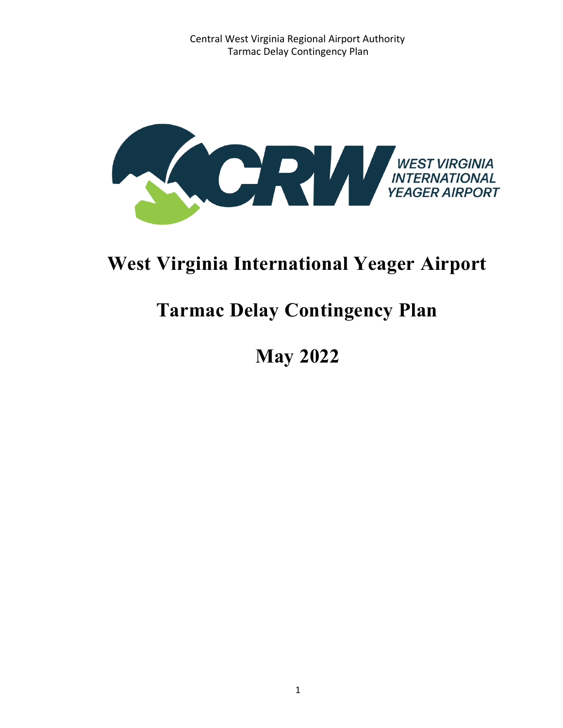

# **West Virginia International Yeager Airport**

# **Tarmac Delay Contingency Plan**

 **May 2022**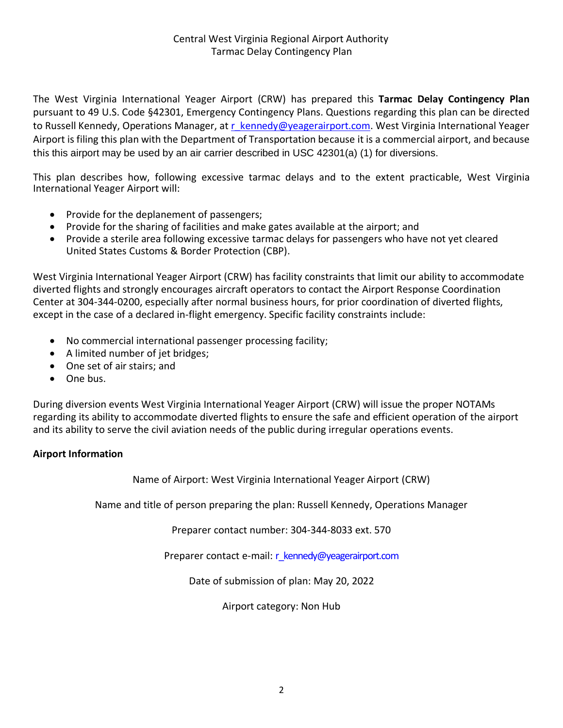The West Virginia International Yeager Airport (CRW) has prepared this **Tarmac Delay Contingency Plan** pursuant to 49 U.S. Code §42301, Emergency Contingency Plans. Questions regarding this plan can be directed to Russell Kennedy, Operations Manager, at [r\\_kennedy@yeagerairport.com.](mailto:r_kennedy@yeagerairport.com) West Virginia International Yeager Airport is filing this plan with the Department of Transportation because it is a commercial airport, and because this this airport may be used by an air carrier described in USC 42301(a) (1) for diversions.

This plan describes how, following excessive tarmac delays and to the extent practicable, West Virginia International Yeager Airport will:

- Provide for the deplanement of passengers;
- Provide for the sharing of facilities and make gates available at the airport; and
- Provide a sterile area following excessive tarmac delays for passengers who have not yet cleared United States Customs & Border Protection (CBP).

West Virginia International Yeager Airport (CRW) has facility constraints that limit our ability to accommodate diverted flights and strongly encourages aircraft operators to contact the Airport Response Coordination Center at 304-344-0200, especially after normal business hours, for prior coordination of diverted flights, except in the case of a declared in-flight emergency. Specific facility constraints include:

- No commercial international passenger processing facility;
- A limited number of jet bridges;
- One set of air stairs; and
- One bus.

During diversion events West Virginia International Yeager Airport (CRW) will issue the proper NOTAMs regarding its ability to accommodate diverted flights to ensure the safe and efficient operation of the airport and its ability to serve the civil aviation needs of the public during irregular operations events.

### **Airport Information**

Name of Airport: West Virginia International Yeager Airport (CRW)

Name and title of person preparing the plan: Russell Kennedy, Operations Manager

Preparer contact number: 304-344-8033 ext. 570

Preparer contact e-mail: r\_kennedy@yeagerairport.com

Date of submission of plan: May 20, 2022

Airport category: Non Hub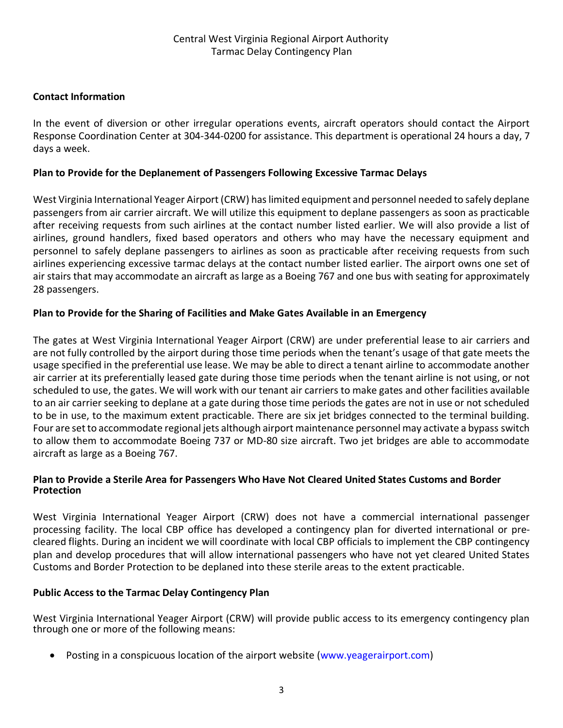### **Contact Information**

In the event of diversion or other irregular operations events, aircraft operators should contact the Airport Response Coordination Center at 304-344-0200 for assistance. This department is operational 24 hours a day, 7 days a week.

#### **Plan to Provide for the Deplanement of Passengers Following Excessive Tarmac Delays**

West Virginia International Yeager Airport (CRW) has limited equipment and personnel needed to safely deplane passengers from air carrier aircraft. We will utilize this equipment to deplane passengers as soon as practicable after receiving requests from such airlines at the contact number listed earlier. We will also provide a list of airlines, ground handlers, fixed based operators and others who may have the necessary equipment and personnel to safely deplane passengers to airlines as soon as practicable after receiving requests from such airlines experiencing excessive tarmac delays at the contact number listed earlier. The airport owns one set of air stairs that may accommodate an aircraft as large as a Boeing 767 and one bus with seating for approximately 28 passengers.

#### **Plan to Provide for the Sharing of Facilities and Make Gates Available in an Emergency**

The gates at West Virginia International Yeager Airport (CRW) are under preferential lease to air carriers and are not fully controlled by the airport during those time periods when the tenant's usage of that gate meets the usage specified in the preferential use lease. We may be able to direct a tenant airline to accommodate another air carrier at its preferentially leased gate during those time periods when the tenant airline is not using, or not scheduled to use, the gates. We will work with our tenant air carriers to make gates and other facilities available to an air carrier seeking to deplane at a gate during those time periods the gates are not in use or not scheduled to be in use, to the maximum extent practicable. There are six jet bridges connected to the terminal building. Four are set to accommodate regional jets although airport maintenance personnel may activate a bypass switch to allow them to accommodate Boeing 737 or MD-80 size aircraft. Two jet bridges are able to accommodate aircraft as large as a Boeing 767.

#### **Plan to Provide a Sterile Area for Passengers Who Have Not Cleared United States Customs and Border Protection**

West Virginia International Yeager Airport (CRW) does not have a commercial international passenger processing facility. The local CBP office has developed a contingency plan for diverted international or precleared flights. During an incident we will coordinate with local CBP officials to implement the CBP contingency plan and develop procedures that will allow international passengers who have not yet cleared United States Customs and Border Protection to be deplaned into these sterile areas to the extent practicable.

#### **Public Access to the Tarmac Delay Contingency Plan**

West Virginia International Yeager Airport (CRW) will provide public access to its emergency contingency plan through one or more of the following means:

Posting in a conspicuous location of the airport website (www.yeagerairport.com)